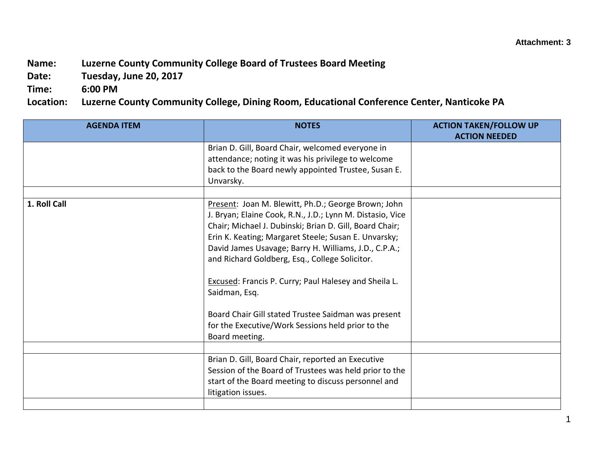## **Name: Luzerne County Community College Board of Trustees Board Meeting**

**Date: Tuesday, June 20, 2017**

**Time: 6:00 PM**

**Location: Luzerne County Community College, Dining Room, Educational Conference Center, Nanticoke PA**

| <b>AGENDA ITEM</b> | <b>NOTES</b>                                                                                                                                                                                                                                                                                                                                                                                                                                                                                                                                                  | <b>ACTION TAKEN/FOLLOW UP</b> |
|--------------------|---------------------------------------------------------------------------------------------------------------------------------------------------------------------------------------------------------------------------------------------------------------------------------------------------------------------------------------------------------------------------------------------------------------------------------------------------------------------------------------------------------------------------------------------------------------|-------------------------------|
|                    |                                                                                                                                                                                                                                                                                                                                                                                                                                                                                                                                                               | <b>ACTION NEEDED</b>          |
|                    | Brian D. Gill, Board Chair, welcomed everyone in<br>attendance; noting it was his privilege to welcome<br>back to the Board newly appointed Trustee, Susan E.<br>Unvarsky.                                                                                                                                                                                                                                                                                                                                                                                    |                               |
|                    |                                                                                                                                                                                                                                                                                                                                                                                                                                                                                                                                                               |                               |
| 1. Roll Call       | Present: Joan M. Blewitt, Ph.D.; George Brown; John<br>J. Bryan; Elaine Cook, R.N., J.D.; Lynn M. Distasio, Vice<br>Chair; Michael J. Dubinski; Brian D. Gill, Board Chair;<br>Erin K. Keating; Margaret Steele; Susan E. Unvarsky;<br>David James Usavage; Barry H. Williams, J.D., C.P.A.;<br>and Richard Goldberg, Esq., College Solicitor.<br><b>Excused: Francis P. Curry; Paul Halesey and Sheila L.</b><br>Saidman, Esq.<br>Board Chair Gill stated Trustee Saidman was present<br>for the Executive/Work Sessions held prior to the<br>Board meeting. |                               |
|                    |                                                                                                                                                                                                                                                                                                                                                                                                                                                                                                                                                               |                               |
|                    | Brian D. Gill, Board Chair, reported an Executive<br>Session of the Board of Trustees was held prior to the<br>start of the Board meeting to discuss personnel and<br>litigation issues.                                                                                                                                                                                                                                                                                                                                                                      |                               |
|                    |                                                                                                                                                                                                                                                                                                                                                                                                                                                                                                                                                               |                               |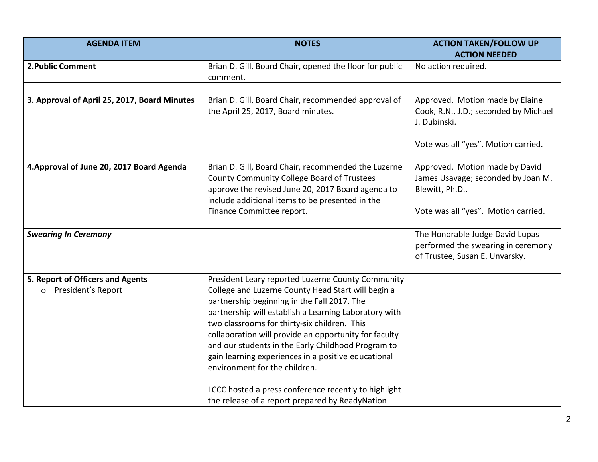| <b>AGENDA ITEM</b>                                                | <b>NOTES</b>                                                                                                                                                                                                                                                                                                                                                                                                                                                           | <b>ACTION TAKEN/FOLLOW UP</b><br><b>ACTION NEEDED</b>                                                                           |
|-------------------------------------------------------------------|------------------------------------------------------------------------------------------------------------------------------------------------------------------------------------------------------------------------------------------------------------------------------------------------------------------------------------------------------------------------------------------------------------------------------------------------------------------------|---------------------------------------------------------------------------------------------------------------------------------|
| 2. Public Comment                                                 | Brian D. Gill, Board Chair, opened the floor for public<br>comment.                                                                                                                                                                                                                                                                                                                                                                                                    | No action required.                                                                                                             |
|                                                                   |                                                                                                                                                                                                                                                                                                                                                                                                                                                                        |                                                                                                                                 |
| 3. Approval of April 25, 2017, Board Minutes                      | Brian D. Gill, Board Chair, recommended approval of<br>the April 25, 2017, Board minutes.                                                                                                                                                                                                                                                                                                                                                                              | Approved. Motion made by Elaine<br>Cook, R.N., J.D.; seconded by Michael<br>J. Dubinski.<br>Vote was all "yes". Motion carried. |
|                                                                   |                                                                                                                                                                                                                                                                                                                                                                                                                                                                        |                                                                                                                                 |
| 4. Approval of June 20, 2017 Board Agenda                         | Brian D. Gill, Board Chair, recommended the Luzerne<br>County Community College Board of Trustees<br>approve the revised June 20, 2017 Board agenda to<br>include additional items to be presented in the<br>Finance Committee report.                                                                                                                                                                                                                                 | Approved. Motion made by David<br>James Usavage; seconded by Joan M.<br>Blewitt, Ph.D<br>Vote was all "yes". Motion carried.    |
|                                                                   |                                                                                                                                                                                                                                                                                                                                                                                                                                                                        |                                                                                                                                 |
| <b>Swearing In Ceremony</b>                                       |                                                                                                                                                                                                                                                                                                                                                                                                                                                                        | The Honorable Judge David Lupas<br>performed the swearing in ceremony<br>of Trustee, Susan E. Unvarsky.                         |
|                                                                   |                                                                                                                                                                                                                                                                                                                                                                                                                                                                        |                                                                                                                                 |
| 5. Report of Officers and Agents<br>President's Report<br>$\circ$ | President Leary reported Luzerne County Community<br>College and Luzerne County Head Start will begin a<br>partnership beginning in the Fall 2017. The<br>partnership will establish a Learning Laboratory with<br>two classrooms for thirty-six children. This<br>collaboration will provide an opportunity for faculty<br>and our students in the Early Childhood Program to<br>gain learning experiences in a positive educational<br>environment for the children. |                                                                                                                                 |
|                                                                   | LCCC hosted a press conference recently to highlight<br>the release of a report prepared by ReadyNation                                                                                                                                                                                                                                                                                                                                                                |                                                                                                                                 |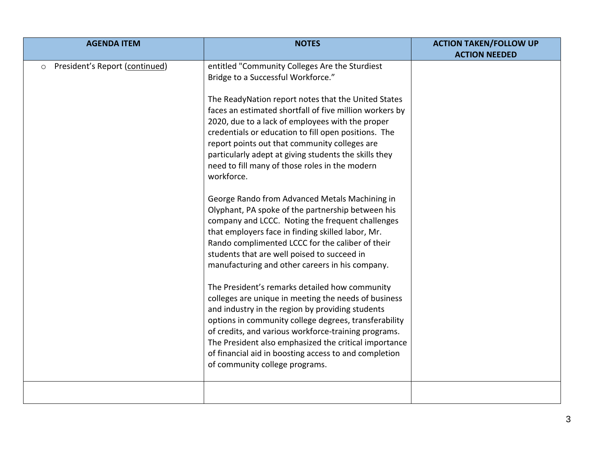| <b>AGENDA ITEM</b>                        | <b>NOTES</b>                                                                                                                                                                                                                                                                                                                                                                                                                                                                                                                                                                                                                                                                                                                                                                                                                                                                                                                                                                                                                                                                                                                                                                                                                                                                                          | <b>ACTION TAKEN/FOLLOW UP</b><br><b>ACTION NEEDED</b> |
|-------------------------------------------|-------------------------------------------------------------------------------------------------------------------------------------------------------------------------------------------------------------------------------------------------------------------------------------------------------------------------------------------------------------------------------------------------------------------------------------------------------------------------------------------------------------------------------------------------------------------------------------------------------------------------------------------------------------------------------------------------------------------------------------------------------------------------------------------------------------------------------------------------------------------------------------------------------------------------------------------------------------------------------------------------------------------------------------------------------------------------------------------------------------------------------------------------------------------------------------------------------------------------------------------------------------------------------------------------------|-------------------------------------------------------|
| President's Report (continued)<br>$\circ$ | entitled "Community Colleges Are the Sturdiest<br>Bridge to a Successful Workforce."<br>The ReadyNation report notes that the United States<br>faces an estimated shortfall of five million workers by<br>2020, due to a lack of employees with the proper<br>credentials or education to fill open positions. The<br>report points out that community colleges are<br>particularly adept at giving students the skills they<br>need to fill many of those roles in the modern<br>workforce.<br>George Rando from Advanced Metals Machining in<br>Olyphant, PA spoke of the partnership between his<br>company and LCCC. Noting the frequent challenges<br>that employers face in finding skilled labor, Mr.<br>Rando complimented LCCC for the caliber of their<br>students that are well poised to succeed in<br>manufacturing and other careers in his company.<br>The President's remarks detailed how community<br>colleges are unique in meeting the needs of business<br>and industry in the region by providing students<br>options in community college degrees, transferability<br>of credits, and various workforce-training programs.<br>The President also emphasized the critical importance<br>of financial aid in boosting access to and completion<br>of community college programs. |                                                       |
|                                           |                                                                                                                                                                                                                                                                                                                                                                                                                                                                                                                                                                                                                                                                                                                                                                                                                                                                                                                                                                                                                                                                                                                                                                                                                                                                                                       |                                                       |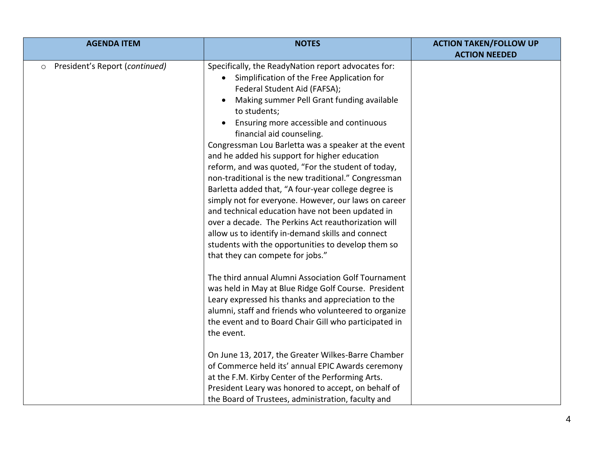| <b>AGENDA ITEM</b>                        | <b>NOTES</b>                                                                                                                                                                                                                                                                                                                                                                                                                                                                                                                                                                                                                                                                                                                                                                                                                                                           | <b>ACTION TAKEN/FOLLOW UP</b> |
|-------------------------------------------|------------------------------------------------------------------------------------------------------------------------------------------------------------------------------------------------------------------------------------------------------------------------------------------------------------------------------------------------------------------------------------------------------------------------------------------------------------------------------------------------------------------------------------------------------------------------------------------------------------------------------------------------------------------------------------------------------------------------------------------------------------------------------------------------------------------------------------------------------------------------|-------------------------------|
|                                           |                                                                                                                                                                                                                                                                                                                                                                                                                                                                                                                                                                                                                                                                                                                                                                                                                                                                        | <b>ACTION NEEDED</b>          |
| President's Report (continued)<br>$\circ$ | Specifically, the ReadyNation report advocates for:<br>Simplification of the Free Application for<br>Federal Student Aid (FAFSA);<br>Making summer Pell Grant funding available<br>to students;<br>Ensuring more accessible and continuous<br>financial aid counseling.<br>Congressman Lou Barletta was a speaker at the event<br>and he added his support for higher education<br>reform, and was quoted, "For the student of today,<br>non-traditional is the new traditional." Congressman<br>Barletta added that, "A four-year college degree is<br>simply not for everyone. However, our laws on career<br>and technical education have not been updated in<br>over a decade. The Perkins Act reauthorization will<br>allow us to identify in-demand skills and connect<br>students with the opportunities to develop them so<br>that they can compete for jobs." |                               |
|                                           | The third annual Alumni Association Golf Tournament<br>was held in May at Blue Ridge Golf Course. President<br>Leary expressed his thanks and appreciation to the<br>alumni, staff and friends who volunteered to organize<br>the event and to Board Chair Gill who participated in<br>the event.<br>On June 13, 2017, the Greater Wilkes-Barre Chamber<br>of Commerce held its' annual EPIC Awards ceremony<br>at the F.M. Kirby Center of the Performing Arts.<br>President Leary was honored to accept, on behalf of<br>the Board of Trustees, administration, faculty and                                                                                                                                                                                                                                                                                          |                               |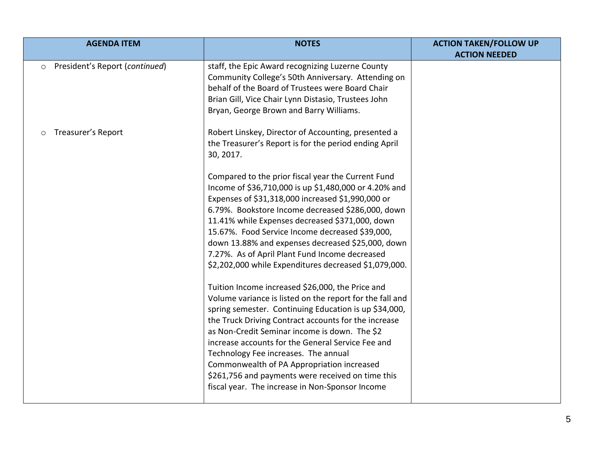| <b>AGENDA ITEM</b>                        | <b>NOTES</b>                                                                                                                                                                                                                                                                                                                                                                                                                                                                                                                      | <b>ACTION TAKEN/FOLLOW UP</b> |
|-------------------------------------------|-----------------------------------------------------------------------------------------------------------------------------------------------------------------------------------------------------------------------------------------------------------------------------------------------------------------------------------------------------------------------------------------------------------------------------------------------------------------------------------------------------------------------------------|-------------------------------|
| President's Report (continued)<br>$\circ$ | staff, the Epic Award recognizing Luzerne County<br>Community College's 50th Anniversary. Attending on<br>behalf of the Board of Trustees were Board Chair<br>Brian Gill, Vice Chair Lynn Distasio, Trustees John<br>Bryan, George Brown and Barry Williams.                                                                                                                                                                                                                                                                      | <b>ACTION NEEDED</b>          |
| Treasurer's Report                        | Robert Linskey, Director of Accounting, presented a<br>the Treasurer's Report is for the period ending April<br>30, 2017.<br>Compared to the prior fiscal year the Current Fund<br>Income of \$36,710,000 is up \$1,480,000 or 4.20% and<br>Expenses of \$31,318,000 increased \$1,990,000 or                                                                                                                                                                                                                                     |                               |
|                                           | 6.79%. Bookstore Income decreased \$286,000, down<br>11.41% while Expenses decreased \$371,000, down<br>15.67%. Food Service Income decreased \$39,000,<br>down 13.88% and expenses decreased \$25,000, down<br>7.27%. As of April Plant Fund Income decreased<br>\$2,202,000 while Expenditures decreased \$1,079,000.                                                                                                                                                                                                           |                               |
|                                           | Tuition Income increased \$26,000, the Price and<br>Volume variance is listed on the report for the fall and<br>spring semester. Continuing Education is up \$34,000,<br>the Truck Driving Contract accounts for the increase<br>as Non-Credit Seminar income is down. The \$2<br>increase accounts for the General Service Fee and<br>Technology Fee increases. The annual<br>Commonwealth of PA Appropriation increased<br>\$261,756 and payments were received on time this<br>fiscal year. The increase in Non-Sponsor Income |                               |
|                                           |                                                                                                                                                                                                                                                                                                                                                                                                                                                                                                                                   |                               |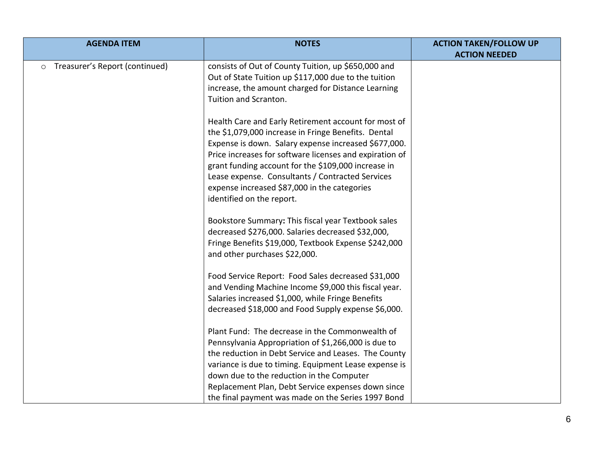| <b>AGENDA ITEM</b>                        | <b>NOTES</b>                                                                                                                                                                                                                                                                                                                                                                                                           | <b>ACTION TAKEN/FOLLOW UP</b><br><b>ACTION NEEDED</b> |
|-------------------------------------------|------------------------------------------------------------------------------------------------------------------------------------------------------------------------------------------------------------------------------------------------------------------------------------------------------------------------------------------------------------------------------------------------------------------------|-------------------------------------------------------|
| Treasurer's Report (continued)<br>$\circ$ | consists of Out of County Tuition, up \$650,000 and<br>Out of State Tuition up \$117,000 due to the tuition<br>increase, the amount charged for Distance Learning<br>Tuition and Scranton.                                                                                                                                                                                                                             |                                                       |
|                                           | Health Care and Early Retirement account for most of<br>the \$1,079,000 increase in Fringe Benefits. Dental<br>Expense is down. Salary expense increased \$677,000.<br>Price increases for software licenses and expiration of<br>grant funding account for the \$109,000 increase in<br>Lease expense. Consultants / Contracted Services<br>expense increased \$87,000 in the categories<br>identified on the report. |                                                       |
|                                           | Bookstore Summary: This fiscal year Textbook sales<br>decreased \$276,000. Salaries decreased \$32,000,<br>Fringe Benefits \$19,000, Textbook Expense \$242,000<br>and other purchases \$22,000.                                                                                                                                                                                                                       |                                                       |
|                                           | Food Service Report: Food Sales decreased \$31,000<br>and Vending Machine Income \$9,000 this fiscal year.<br>Salaries increased \$1,000, while Fringe Benefits<br>decreased \$18,000 and Food Supply expense \$6,000.                                                                                                                                                                                                 |                                                       |
|                                           | Plant Fund: The decrease in the Commonwealth of<br>Pennsylvania Appropriation of \$1,266,000 is due to<br>the reduction in Debt Service and Leases. The County<br>variance is due to timing. Equipment Lease expense is<br>down due to the reduction in the Computer<br>Replacement Plan, Debt Service expenses down since<br>the final payment was made on the Series 1997 Bond                                       |                                                       |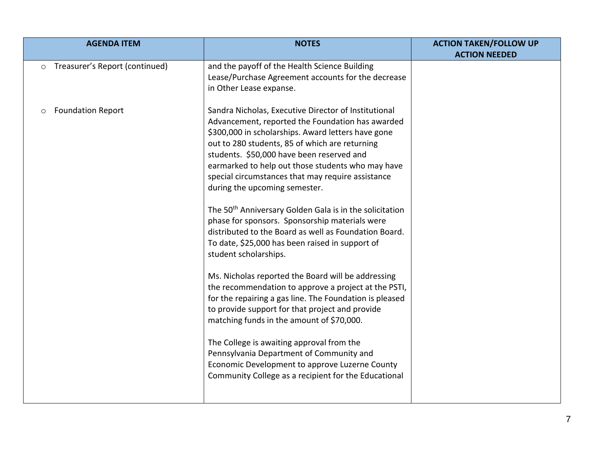| <b>AGENDA ITEM</b>                        | <b>NOTES</b>                                                                                                                                                                                                                                                                                                                                                                                                                                                                                                                                                                                                                                                           | <b>ACTION TAKEN/FOLLOW UP</b> |
|-------------------------------------------|------------------------------------------------------------------------------------------------------------------------------------------------------------------------------------------------------------------------------------------------------------------------------------------------------------------------------------------------------------------------------------------------------------------------------------------------------------------------------------------------------------------------------------------------------------------------------------------------------------------------------------------------------------------------|-------------------------------|
|                                           |                                                                                                                                                                                                                                                                                                                                                                                                                                                                                                                                                                                                                                                                        | <b>ACTION NEEDED</b>          |
| Treasurer's Report (continued)<br>$\circ$ | and the payoff of the Health Science Building<br>Lease/Purchase Agreement accounts for the decrease<br>in Other Lease expanse.                                                                                                                                                                                                                                                                                                                                                                                                                                                                                                                                         |                               |
| <b>Foundation Report</b><br>$\circ$       | Sandra Nicholas, Executive Director of Institutional<br>Advancement, reported the Foundation has awarded<br>\$300,000 in scholarships. Award letters have gone<br>out to 280 students, 85 of which are returning<br>students. \$50,000 have been reserved and<br>earmarked to help out those students who may have<br>special circumstances that may require assistance<br>during the upcoming semester.<br>The 50 <sup>th</sup> Anniversary Golden Gala is in the solicitation<br>phase for sponsors. Sponsorship materials were<br>distributed to the Board as well as Foundation Board.<br>To date, \$25,000 has been raised in support of<br>student scholarships. |                               |
|                                           | Ms. Nicholas reported the Board will be addressing<br>the recommendation to approve a project at the PSTI,<br>for the repairing a gas line. The Foundation is pleased<br>to provide support for that project and provide<br>matching funds in the amount of \$70,000.<br>The College is awaiting approval from the<br>Pennsylvania Department of Community and<br>Economic Development to approve Luzerne County<br>Community College as a recipient for the Educational                                                                                                                                                                                               |                               |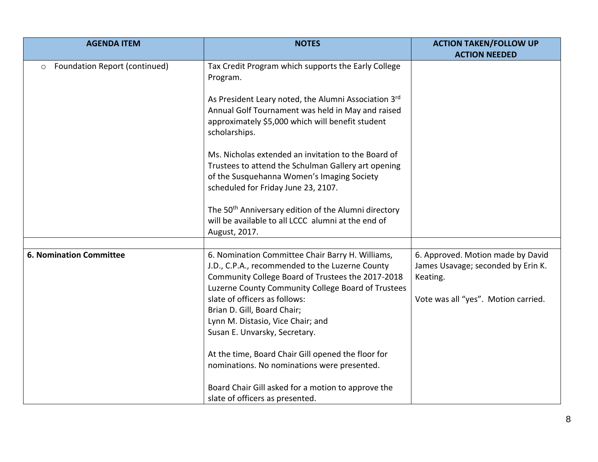| <b>AGENDA ITEM</b>                       | <b>NOTES</b>                                                                                                                                                                                                                                                                                                                                         | <b>ACTION TAKEN/FOLLOW UP</b>                                                                                              |
|------------------------------------------|------------------------------------------------------------------------------------------------------------------------------------------------------------------------------------------------------------------------------------------------------------------------------------------------------------------------------------------------------|----------------------------------------------------------------------------------------------------------------------------|
| Foundation Report (continued)<br>$\circ$ | Tax Credit Program which supports the Early College<br>Program.                                                                                                                                                                                                                                                                                      | <b>ACTION NEEDED</b>                                                                                                       |
|                                          | As President Leary noted, the Alumni Association 3rd<br>Annual Golf Tournament was held in May and raised<br>approximately \$5,000 which will benefit student<br>scholarships.                                                                                                                                                                       |                                                                                                                            |
|                                          | Ms. Nicholas extended an invitation to the Board of<br>Trustees to attend the Schulman Gallery art opening<br>of the Susquehanna Women's Imaging Society<br>scheduled for Friday June 23, 2107.                                                                                                                                                      |                                                                                                                            |
|                                          | The 50 <sup>th</sup> Anniversary edition of the Alumni directory<br>will be available to all LCCC alumni at the end of<br>August, 2017.                                                                                                                                                                                                              |                                                                                                                            |
|                                          |                                                                                                                                                                                                                                                                                                                                                      |                                                                                                                            |
| <b>6. Nomination Committee</b>           | 6. Nomination Committee Chair Barry H. Williams,<br>J.D., C.P.A., recommended to the Luzerne County<br>Community College Board of Trustees the 2017-2018<br>Luzerne County Community College Board of Trustees<br>slate of officers as follows:<br>Brian D. Gill, Board Chair;<br>Lynn M. Distasio, Vice Chair; and<br>Susan E. Unvarsky, Secretary. | 6. Approved. Motion made by David<br>James Usavage; seconded by Erin K.<br>Keating.<br>Vote was all "yes". Motion carried. |
|                                          | At the time, Board Chair Gill opened the floor for<br>nominations. No nominations were presented.                                                                                                                                                                                                                                                    |                                                                                                                            |
|                                          | Board Chair Gill asked for a motion to approve the<br>slate of officers as presented.                                                                                                                                                                                                                                                                |                                                                                                                            |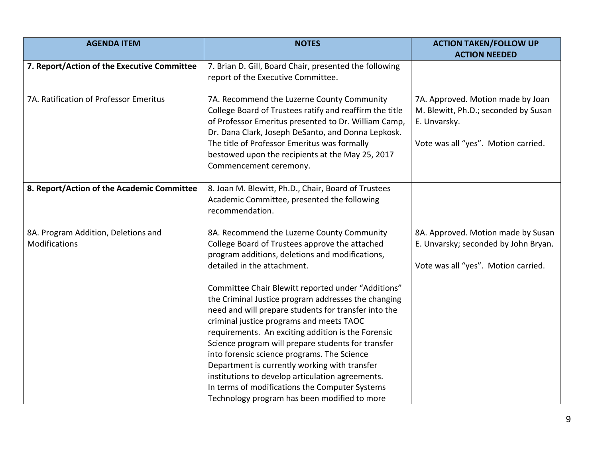| <b>AGENDA ITEM</b>                                          | <b>NOTES</b>                                                                                                                                                                                                                                                                                                                                                                                                                                                                                                                                                                    | <b>ACTION TAKEN/FOLLOW UP</b><br><b>ACTION NEEDED</b>                                                                            |
|-------------------------------------------------------------|---------------------------------------------------------------------------------------------------------------------------------------------------------------------------------------------------------------------------------------------------------------------------------------------------------------------------------------------------------------------------------------------------------------------------------------------------------------------------------------------------------------------------------------------------------------------------------|----------------------------------------------------------------------------------------------------------------------------------|
| 7. Report/Action of the Executive Committee                 | 7. Brian D. Gill, Board Chair, presented the following<br>report of the Executive Committee.                                                                                                                                                                                                                                                                                                                                                                                                                                                                                    |                                                                                                                                  |
| 7A. Ratification of Professor Emeritus                      | 7A. Recommend the Luzerne County Community<br>College Board of Trustees ratify and reaffirm the title<br>of Professor Emeritus presented to Dr. William Camp,<br>Dr. Dana Clark, Joseph DeSanto, and Donna Lepkosk.<br>The title of Professor Emeritus was formally<br>bestowed upon the recipients at the May 25, 2017<br>Commencement ceremony.                                                                                                                                                                                                                               | 7A. Approved. Motion made by Joan<br>M. Blewitt, Ph.D.; seconded by Susan<br>E. Unvarsky.<br>Vote was all "yes". Motion carried. |
| 8. Report/Action of the Academic Committee                  | 8. Joan M. Blewitt, Ph.D., Chair, Board of Trustees<br>Academic Committee, presented the following<br>recommendation.                                                                                                                                                                                                                                                                                                                                                                                                                                                           |                                                                                                                                  |
| 8A. Program Addition, Deletions and<br><b>Modifications</b> | 8A. Recommend the Luzerne County Community<br>College Board of Trustees approve the attached<br>program additions, deletions and modifications,<br>detailed in the attachment.                                                                                                                                                                                                                                                                                                                                                                                                  | 8A. Approved. Motion made by Susan<br>E. Unvarsky; seconded by John Bryan.<br>Vote was all "yes". Motion carried.                |
|                                                             | Committee Chair Blewitt reported under "Additions"<br>the Criminal Justice program addresses the changing<br>need and will prepare students for transfer into the<br>criminal justice programs and meets TAOC<br>requirements. An exciting addition is the Forensic<br>Science program will prepare students for transfer<br>into forensic science programs. The Science<br>Department is currently working with transfer<br>institutions to develop articulation agreements.<br>In terms of modifications the Computer Systems<br>Technology program has been modified to more |                                                                                                                                  |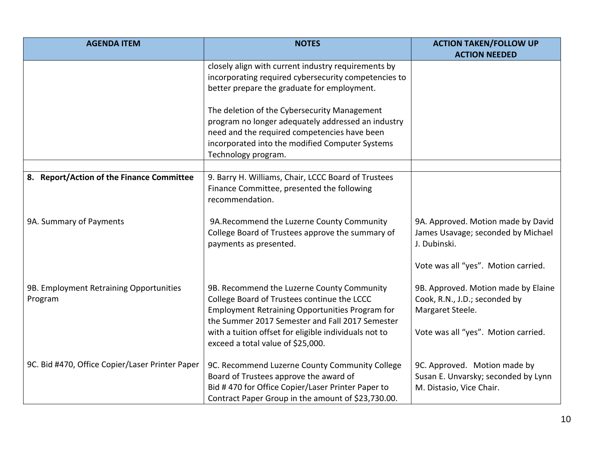| <b>AGENDA ITEM</b>                                 | <b>NOTES</b>                                                                                                                                                                                                                                                                                  | <b>ACTION TAKEN/FOLLOW UP</b><br><b>ACTION NEEDED</b>                                                                                                                  |
|----------------------------------------------------|-----------------------------------------------------------------------------------------------------------------------------------------------------------------------------------------------------------------------------------------------------------------------------------------------|------------------------------------------------------------------------------------------------------------------------------------------------------------------------|
|                                                    | closely align with current industry requirements by<br>incorporating required cybersecurity competencies to<br>better prepare the graduate for employment.                                                                                                                                    |                                                                                                                                                                        |
|                                                    | The deletion of the Cybersecurity Management<br>program no longer adequately addressed an industry<br>need and the required competencies have been<br>incorporated into the modified Computer Systems<br>Technology program.                                                                  |                                                                                                                                                                        |
| 8. Report/Action of the Finance Committee          | 9. Barry H. Williams, Chair, LCCC Board of Trustees<br>Finance Committee, presented the following<br>recommendation.                                                                                                                                                                          |                                                                                                                                                                        |
| 9A. Summary of Payments                            | 9A.Recommend the Luzerne County Community<br>College Board of Trustees approve the summary of<br>payments as presented.                                                                                                                                                                       | 9A. Approved. Motion made by David<br>James Usavage; seconded by Michael<br>J. Dubinski.                                                                               |
| 9B. Employment Retraining Opportunities<br>Program | 9B. Recommend the Luzerne County Community<br>College Board of Trustees continue the LCCC<br>Employment Retraining Opportunities Program for<br>the Summer 2017 Semester and Fall 2017 Semester<br>with a tuition offset for eligible individuals not to<br>exceed a total value of \$25,000. | Vote was all "yes". Motion carried.<br>9B. Approved. Motion made by Elaine<br>Cook, R.N., J.D.; seconded by<br>Margaret Steele.<br>Vote was all "yes". Motion carried. |
| 9C. Bid #470, Office Copier/Laser Printer Paper    | 9C. Recommend Luzerne County Community College<br>Board of Trustees approve the award of<br>Bid #470 for Office Copier/Laser Printer Paper to<br>Contract Paper Group in the amount of \$23,730.00.                                                                                           | 9C. Approved. Motion made by<br>Susan E. Unvarsky; seconded by Lynn<br>M. Distasio, Vice Chair.                                                                        |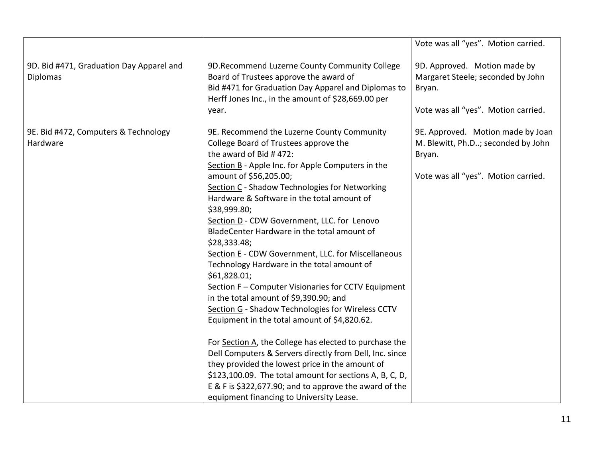|                                                             |                                                                                                                                                                                                                                                                                                                                                                                                                                                                                                                                                                                                                                                                                                                                                                                                                                                                                                                                                                                                                                                                                               | Vote was all "yes". Motion carried.                                                                                      |
|-------------------------------------------------------------|-----------------------------------------------------------------------------------------------------------------------------------------------------------------------------------------------------------------------------------------------------------------------------------------------------------------------------------------------------------------------------------------------------------------------------------------------------------------------------------------------------------------------------------------------------------------------------------------------------------------------------------------------------------------------------------------------------------------------------------------------------------------------------------------------------------------------------------------------------------------------------------------------------------------------------------------------------------------------------------------------------------------------------------------------------------------------------------------------|--------------------------------------------------------------------------------------------------------------------------|
| 9D. Bid #471, Graduation Day Apparel and<br><b>Diplomas</b> | 9D. Recommend Luzerne County Community College<br>Board of Trustees approve the award of<br>Bid #471 for Graduation Day Apparel and Diplomas to<br>Herff Jones Inc., in the amount of \$28,669.00 per<br>year.                                                                                                                                                                                                                                                                                                                                                                                                                                                                                                                                                                                                                                                                                                                                                                                                                                                                                | 9D. Approved. Motion made by<br>Margaret Steele; seconded by John<br>Bryan.<br>Vote was all "yes". Motion carried.       |
| 9E. Bid #472, Computers & Technology<br>Hardware            | 9E. Recommend the Luzerne County Community<br>College Board of Trustees approve the<br>the award of Bid #472:<br>Section B - Apple Inc. for Apple Computers in the<br>amount of \$56,205.00;<br>Section C - Shadow Technologies for Networking<br>Hardware & Software in the total amount of<br>\$38,999.80;<br>Section D - CDW Government, LLC. for Lenovo<br>BladeCenter Hardware in the total amount of<br>\$28,333.48;<br>Section E - CDW Government, LLC. for Miscellaneous<br>Technology Hardware in the total amount of<br>\$61,828.01;<br>Section F - Computer Visionaries for CCTV Equipment<br>in the total amount of \$9,390.90; and<br>Section G - Shadow Technologies for Wireless CCTV<br>Equipment in the total amount of \$4,820.62.<br>For Section A, the College has elected to purchase the<br>Dell Computers & Servers directly from Dell, Inc. since<br>they provided the lowest price in the amount of<br>\$123,100.09. The total amount for sections A, B, C, D,<br>E & F is \$322,677.90; and to approve the award of the<br>equipment financing to University Lease. | 9E. Approved. Motion made by Joan<br>M. Blewitt, Ph.D; seconded by John<br>Bryan.<br>Vote was all "yes". Motion carried. |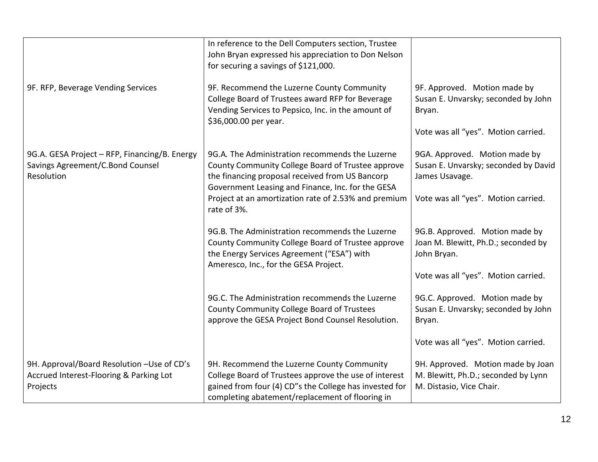|                                                                                                   | In reference to the Dell Computers section, Trustee<br>John Bryan expressed his appreciation to Don Nelson<br>for securing a savings of \$121,000.                                                                                                                                  |                                                                                                                                |
|---------------------------------------------------------------------------------------------------|-------------------------------------------------------------------------------------------------------------------------------------------------------------------------------------------------------------------------------------------------------------------------------------|--------------------------------------------------------------------------------------------------------------------------------|
| 9F. RFP, Beverage Vending Services                                                                | 9F. Recommend the Luzerne County Community<br>College Board of Trustees award RFP for Beverage<br>Vending Services to Pepsico, Inc. in the amount of<br>\$36,000.00 per year.                                                                                                       | 9F. Approved. Motion made by<br>Susan E. Unvarsky; seconded by John<br>Bryan.<br>Vote was all "yes". Motion carried.           |
| 9G.A. GESA Project - RFP, Financing/B. Energy<br>Savings Agreement/C.Bond Counsel<br>Resolution   | 9G.A. The Administration recommends the Luzerne<br>County Community College Board of Trustee approve<br>the financing proposal received from US Bancorp<br>Government Leasing and Finance, Inc. for the GESA<br>Project at an amortization rate of 2.53% and premium<br>rate of 3%. | 9GA. Approved. Motion made by<br>Susan E. Unvarsky; seconded by David<br>James Usavage.<br>Vote was all "yes". Motion carried. |
|                                                                                                   | 9G.B. The Administration recommends the Luzerne<br>County Community College Board of Trustee approve<br>the Energy Services Agreement ("ESA") with<br>Ameresco, Inc., for the GESA Project.                                                                                         | 9G.B. Approved. Motion made by<br>Joan M. Blewitt, Ph.D.; seconded by<br>John Bryan.<br>Vote was all "yes". Motion carried.    |
|                                                                                                   | 9G.C. The Administration recommends the Luzerne<br>County Community College Board of Trustees<br>approve the GESA Project Bond Counsel Resolution.                                                                                                                                  | 9G.C. Approved. Motion made by<br>Susan E. Unvarsky; seconded by John<br>Bryan.                                                |
|                                                                                                   |                                                                                                                                                                                                                                                                                     | Vote was all "yes". Motion carried.                                                                                            |
| 9H. Approval/Board Resolution -Use of CD's<br>Accrued Interest-Flooring & Parking Lot<br>Projects | 9H. Recommend the Luzerne County Community<br>College Board of Trustees approve the use of interest<br>gained from four (4) CD"s the College has invested for<br>completing abatement/replacement of flooring in                                                                    | 9H. Approved. Motion made by Joan<br>M. Blewitt, Ph.D.; seconded by Lynn<br>M. Distasio, Vice Chair.                           |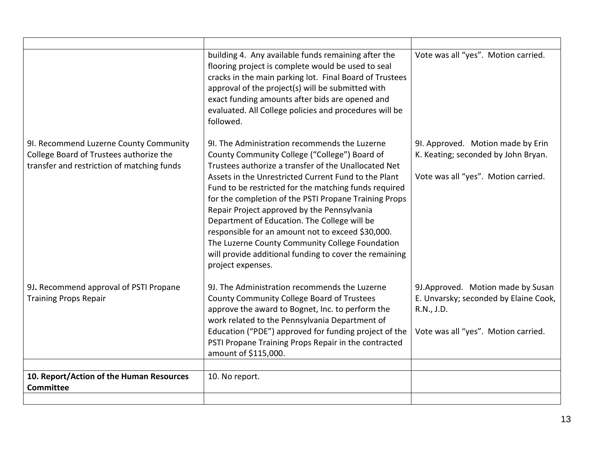|                                                                                                                                 | building 4. Any available funds remaining after the<br>flooring project is complete would be used to seal<br>cracks in the main parking lot. Final Board of Trustees<br>approval of the project(s) will be submitted with<br>exact funding amounts after bids are opened and<br>evaluated. All College policies and procedures will be<br>followed.                                                                                                                                                                                                                                                                    | Vote was all "yes". Motion carried.                                                                                              |
|---------------------------------------------------------------------------------------------------------------------------------|------------------------------------------------------------------------------------------------------------------------------------------------------------------------------------------------------------------------------------------------------------------------------------------------------------------------------------------------------------------------------------------------------------------------------------------------------------------------------------------------------------------------------------------------------------------------------------------------------------------------|----------------------------------------------------------------------------------------------------------------------------------|
| 9I. Recommend Luzerne County Community<br>College Board of Trustees authorize the<br>transfer and restriction of matching funds | 91. The Administration recommends the Luzerne<br>County Community College ("College") Board of<br>Trustees authorize a transfer of the Unallocated Net<br>Assets in the Unrestricted Current Fund to the Plant<br>Fund to be restricted for the matching funds required<br>for the completion of the PSTI Propane Training Props<br>Repair Project approved by the Pennsylvania<br>Department of Education. The College will be<br>responsible for an amount not to exceed \$30,000.<br>The Luzerne County Community College Foundation<br>will provide additional funding to cover the remaining<br>project expenses. | 9I. Approved. Motion made by Erin<br>K. Keating; seconded by John Bryan.<br>Vote was all "yes". Motion carried.                  |
| 9J. Recommend approval of PSTI Propane<br><b>Training Props Repair</b>                                                          | 9J. The Administration recommends the Luzerne<br>County Community College Board of Trustees<br>approve the award to Bognet, Inc. to perform the<br>work related to the Pennsylvania Department of<br>Education ("PDE") approved for funding project of the<br>PSTI Propane Training Props Repair in the contracted<br>amount of \$115,000.                                                                                                                                                                                                                                                                             | 9J. Approved. Motion made by Susan<br>E. Unvarsky; seconded by Elaine Cook,<br>R.N., J.D.<br>Vote was all "yes". Motion carried. |
| 10. Report/Action of the Human Resources<br><b>Committee</b>                                                                    | 10. No report.                                                                                                                                                                                                                                                                                                                                                                                                                                                                                                                                                                                                         |                                                                                                                                  |
|                                                                                                                                 |                                                                                                                                                                                                                                                                                                                                                                                                                                                                                                                                                                                                                        |                                                                                                                                  |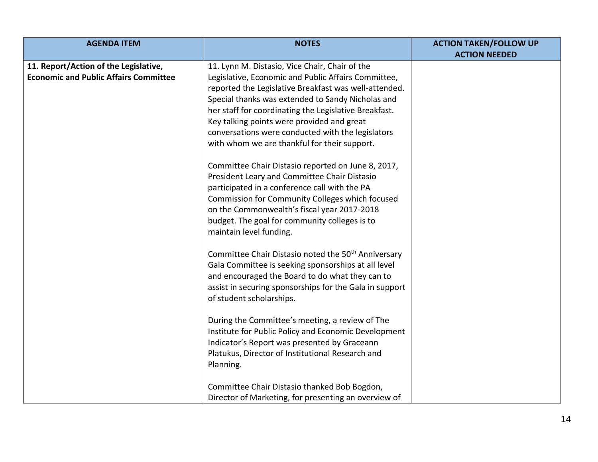| <b>AGENDA ITEM</b>                           | <b>NOTES</b>                                                                                                                                                                                                                                                                                                                      | <b>ACTION TAKEN/FOLLOW UP</b> |
|----------------------------------------------|-----------------------------------------------------------------------------------------------------------------------------------------------------------------------------------------------------------------------------------------------------------------------------------------------------------------------------------|-------------------------------|
|                                              |                                                                                                                                                                                                                                                                                                                                   | <b>ACTION NEEDED</b>          |
| 11. Report/Action of the Legislative,        | 11. Lynn M. Distasio, Vice Chair, Chair of the                                                                                                                                                                                                                                                                                    |                               |
| <b>Economic and Public Affairs Committee</b> | Legislative, Economic and Public Affairs Committee,                                                                                                                                                                                                                                                                               |                               |
|                                              | reported the Legislative Breakfast was well-attended.                                                                                                                                                                                                                                                                             |                               |
|                                              | Special thanks was extended to Sandy Nicholas and                                                                                                                                                                                                                                                                                 |                               |
|                                              | her staff for coordinating the Legislative Breakfast.                                                                                                                                                                                                                                                                             |                               |
|                                              | Key talking points were provided and great                                                                                                                                                                                                                                                                                        |                               |
|                                              | conversations were conducted with the legislators                                                                                                                                                                                                                                                                                 |                               |
|                                              | with whom we are thankful for their support.                                                                                                                                                                                                                                                                                      |                               |
|                                              | Committee Chair Distasio reported on June 8, 2017,<br>President Leary and Committee Chair Distasio<br>participated in a conference call with the PA<br>Commission for Community Colleges which focused<br>on the Commonwealth's fiscal year 2017-2018<br>budget. The goal for community colleges is to<br>maintain level funding. |                               |
|                                              | Committee Chair Distasio noted the 50 <sup>th</sup> Anniversary                                                                                                                                                                                                                                                                   |                               |
|                                              | Gala Committee is seeking sponsorships at all level                                                                                                                                                                                                                                                                               |                               |
|                                              | and encouraged the Board to do what they can to                                                                                                                                                                                                                                                                                   |                               |
|                                              | assist in securing sponsorships for the Gala in support                                                                                                                                                                                                                                                                           |                               |
|                                              | of student scholarships.                                                                                                                                                                                                                                                                                                          |                               |
|                                              | During the Committee's meeting, a review of The<br>Institute for Public Policy and Economic Development<br>Indicator's Report was presented by Graceann<br>Platukus, Director of Institutional Research and<br>Planning.                                                                                                          |                               |
|                                              | Committee Chair Distasio thanked Bob Bogdon,                                                                                                                                                                                                                                                                                      |                               |
|                                              | Director of Marketing, for presenting an overview of                                                                                                                                                                                                                                                                              |                               |